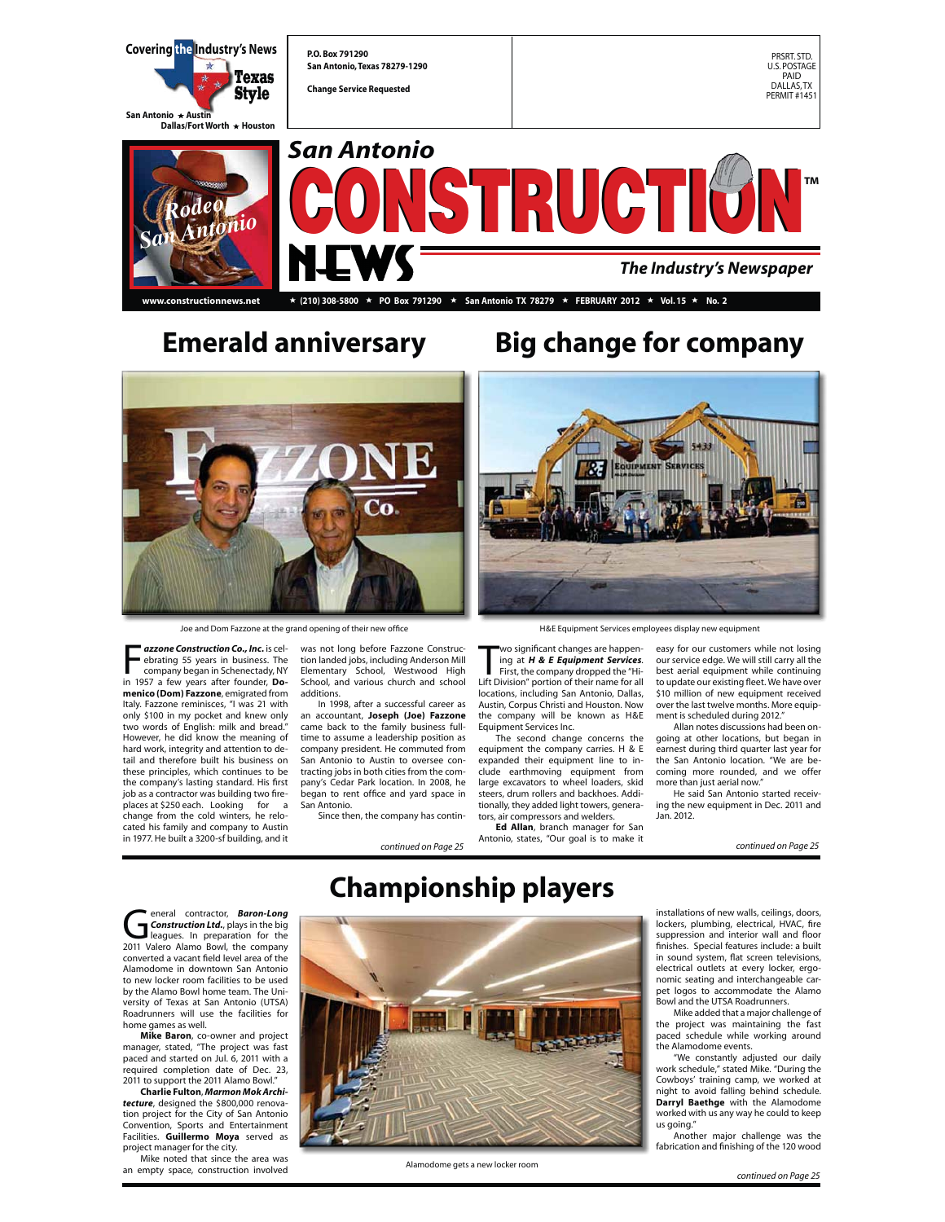

## **Emerald anniversary Big change for company**



Joe and Dom Fazzone at the grand opening of their new office

**France Construction Co., Inc.** is celevating 55 years in business. The company began in Schenectady, NY in 1957 a few years after founder, **Do***azzone Construction Co., Inc.* is celebrating 55 years in business. The company began in Schenectady, NY **menico (Dom) Fazzone**, emigrated from Italy. Fazzone reminisces, "I was 21 with only \$100 in my pocket and knew only two words of English: milk and bread." However, he did know the meaning of hard work, integrity and attention to detail and therefore built his business on these principles, which continues to be the company's lasting standard. His first job as a contractor was building two fireplaces at \$250 each. Looking for a change from the cold winters, he relocated his family and company to Austin in 1977. He built a 3200-sf building, and it

was not long before Fazzone Construction landed jobs, including Anderson Mill Elementary School, Westwood High School, and various church and school additions.

 In 1998, after a successful career as an accountant, **Joseph (Joe) Fazzone** came back to the family business fulltime to assume a leadership position as company president. He commuted from San Antonio to Austin to oversee contracting jobs in both cities from the company's Cedar Park location. In 2008, he began to rent office and yard space in San Antonio. Since then, the company has contin-



H&E Equipment Services employees display new equipment

wo significant changes are happening at **H & E Equipment Services.**<br>First, the company dropped the "Hi-<br>Lift Division" portion of their name for all wo significant changes are happening at *H & E Equipment Services*. First, the company dropped the "Hilocations, including San Antonio, Dallas,

Austin, Corpus Christi and Houston. Now the company will be known as H&E Equipment Services Inc. The second change concerns the

equipment the company carries. H & E expanded their equipment line to include earthmoving equipment from large excavators to wheel loaders, skid steers, drum rollers and backhoes. Additionally, they added light towers, generators, air compressors and welders.

*continued on Page 25 continued on Page 25* **Ed Allan**, branch manager for San Antonio, states, "Our goal is to make it

easy for our customers while not losing our service edge. We will still carry all the best aerial equipment while continuing to update our existing fleet. We have over \$10 million of new equipment received over the last twelve months. More equipment is scheduled during 2012."

Allan notes discussions had been ongoing at other locations, but began in earnest during third quarter last year for the San Antonio location. "We are becoming more rounded, and we offer more than just aerial now."

He said San Antonio started receiving the new equipment in Dec. 2011 and Jan. 2012.

**Construction Ltd., plays in the big leagues.** In preparation for the 2011 Valero Alamo Bowl, the company *Construction Ltd.*, plays in the big converted a vacant field level area of the Alamodome in downtown San Antonio to new locker room facilities to be used by the Alamo Bowl home team. The University of Texas at San Antonio (UTSA) Roadrunners will use the facilities for home games as well.

**Mike Baron**, co-owner and project manager, stated, "The project was fast paced and started on Jul. 6, 2011 with a required completion date of Dec. 23, 2011 to support the 2011 Alamo Bowl."

**Charlie Fulton**, *Marmon Mok Architecture*, designed the \$800,000 renovation project for the City of San Antonio Convention, Sports and Entertainment Facilities. **Guillermo Moya** served as

project manager for the city. Mike noted that since the area was an empty space, construction involved



**Championship players**

Alamodome gets a new locker room

installations of new walls, ceilings, doors, lockers, plumbing, electrical, HVAC, fire suppression and interior wall and floor finishes. Special features include: a built in sound system, flat screen televisions, electrical outlets at every locker, ergonomic seating and interchangeable car-pet logos to accommodate the Alamo Bowl and the UTSA Roadrunners.

 Mike added that a major challenge of the project was maintaining the fast paced schedule while working around the Alamodome events.

 "We constantly adjusted our daily work schedule," stated Mike. "During the Cowboys' training camp, we worked at night to avoid falling behind schedule. **Darryl Baethge** with the Alamodome worked with us any way he could to keep us going.

 Another major challenge was the fabrication and finishing of the 120 wood